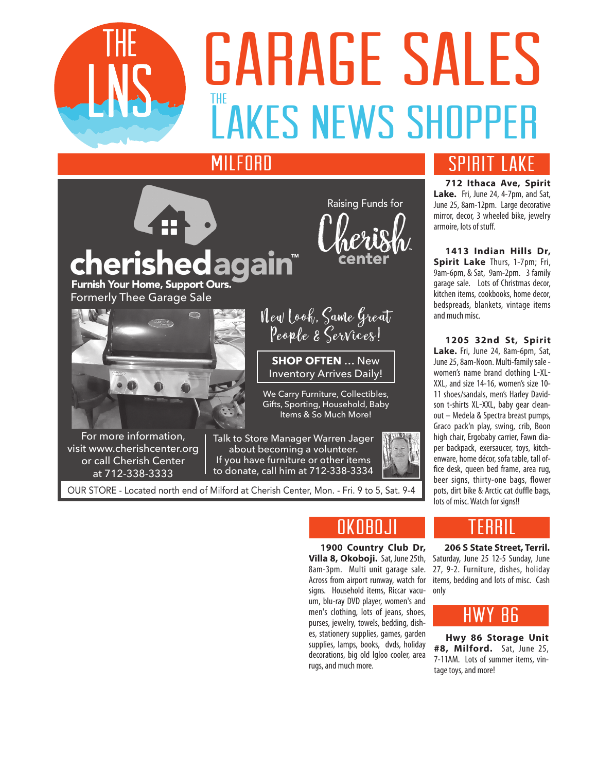

# **DAITADL JALLJ<br>LAKES NEWS SHOPPER**  $\frac{1}{1}$ GARAGE SALES

Raising Funds for

### **MILFORD**

### gain<sup>®</sup> cherished Furnish Your Home, Support Ours. Formerly Thee Garage Sale



For more information, visit www.cherishcenter.org or call Cherish Center at 712-338-3333



**SHOP OFTEN** … New Inventory Arrives Daily!

We Carry Furniture, Collectibles, Gifts, Sporting, Household, Baby Items & So Much More!

> **1900 Country Club Dr, Villa 8, Okoboji.** Sat, June 25th, 8am-3pm. Multi unit garage sale. Across from airport runway, watch for

NKNRN.II

um, blu-ray DVD player, women's and men's clothing, lots of jeans, shoes, purses, jewelry, towels, bedding, dishes, stationery supplies, games, garden supplies, lamps, books, dvds, holiday decorations, big old Igloo cooler, area

rugs, and much more.

Talk to Store Manager Warren Jager about becoming a volunteer. If you have furniture or other items to donate, call him at 712-338-3334

OUR STORE - Located north end of Milford at Cherish Center, Mon. - Fri. 9 to 5, Sat. 9-4

**712 Ithaca Ave, Spirit**  Lake. Fri, June 24, 4-7pm, and Sat, June 25, 8am-12pm. Large decorative mirror, decor, 3 wheeled bike, jewelry armoire, lots of stuff.

**1413 Indian Hills Dr, Spirit Lake** Thurs, 1-7pm; Fri, 9am-6pm, & Sat, 9am-2pm. 3 family garage sale. Lots of Christmas decor, kitchen items, cookbooks, home decor, bedspreads, blankets, vintage items and much misc.

**1205 32nd St, Spirit**  Lake. Fri, June 24, 8am-6pm, Sat, June 25, 8am-Noon. Multi-family sale women's name brand clothing L-XL-XXL, and size 14-16, women's size 10- 11 shoes/sandals, men's Harley Davidson t-shirts XL-XXL, baby gear cleanout – Medela & Spectra breast pumps, Graco pack'n play, swing, crib, Boon high chair, Ergobaby carrier, Fawn diaper backpack, exersaucer, toys, kitchenware, home décor, sofa table, tall office desk, queen bed frame, area rug, beer signs, thirty-one bags, flower pots, dirt bike & Arctic cat duffle bags, lots of misc. Watch for signs!!



**206 S State Street, Terril.** Saturday, June 25 12-5 Sunday, June 27, 9-2. Furniture, dishes, holiday items, bedding and lots of misc. Cash signs. Household items, Riccar vacu- only

### $B6$

**Hwy 86 Storage Unit #8, Milford.** Sat, June 25, 7-11AM. Lots of summer items, vintage toys, and more!